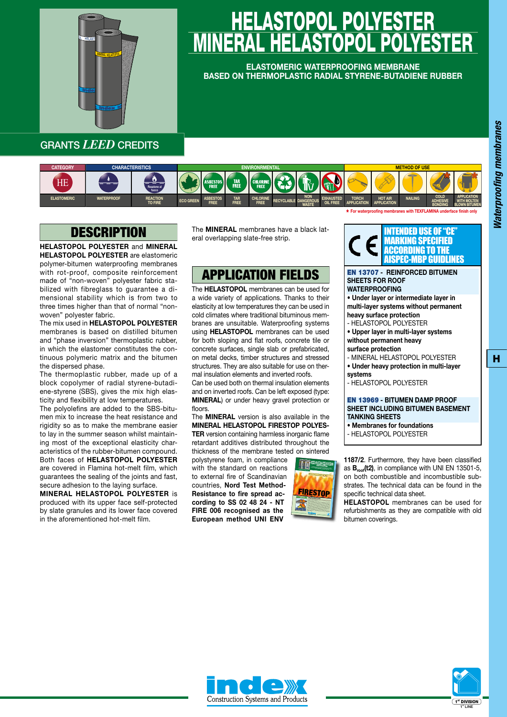

# LASTOPOL POLYES <u>MINEKAL HELASTOPOL POLYESTER</u>

**ELASTOMERIC WATERPROOFING MEMBRANE BASED ON THERMOPLASTIC RADIAL STYRENE-BUTADIENE RUBBER**

GRANTS *LEED* CREDITS



### **DESCRIPTION**

**HELASTOPOL POLYESTER** and **MINERAL HELASTOPOL POLYESTER** are elastomeric polymer-bitumen waterproofing membranes with rot-proof, composite reinforcement made of "non-woven" polyester fabric stabilized with fibreglass to guarantee a dimensional stability which is from two to three times higher than that of normal "nonwoven" polyester fabric.

The mix used in **HELASTOPOL POLYESTER** membranes is based on distilled bitumen and "phase inversion" thermoplastic rubber, in which the elastomer constitutes the continuous polymeric matrix and the bitumen the dispersed phase.

The thermoplastic rubber, made up of a block copolymer of radial styrene-butadiene-styrene (SBS), gives the mix high elasticity and flexibility at low temperatures.

The polyolefins are added to the SBS-bitumen mix to increase the heat resistance and rigidity so as to make the membrane easier to lay in the summer season whilst maintaining most of the exceptional elasticity characteristics of the rubber-bitumen compound. Both faces of **HELASTOPOL POLYESTER** are covered in Flamina hot-melt film, which guarantees the sealing of the joints and fast, secure adhesion to the laying surface.

**MINERAL HELASTOPOL POLYESTER** is produced with its upper face self-protected by slate granules and its lower face covered in the aforementioned hot-melt film.

The **MINERAL** membranes have a black lateral overlapping slate-free strip.

## APPLICATION FIELDS

The **HELASTOPOL** membranes can be used for a wide variety of applications. Thanks to their elasticity at low temperatures they can be used in cold climates where traditional bituminous membranes are unsuitable. Waterproofing systems using **HELASTOPOL** membranes can be used for both sloping and flat roofs, concrete tile or concrete surfaces, single slab or prefabricated, on metal decks, timber structures and stressed structures. They are also suitable for use on thermal insulation elements and inverted roofs.

Can be used both on thermal insulation elements and on inverted roofs. Can be left exposed (type: **MINERAL**) or under heavy gravel protection or floors.

The **MINERAL** version is also available in the **MINERAL HELASTOPOL FIRESTOP POLYES-TER** version containing harmless inorganic flame retardant additives distributed throughout the thickness of the membrane tested on sintered

polystyrene foam, in compliance with the standard on reactions to external fire of Scandinavian countries, **Nord Test Method-Resistance to fire spread according to SS 02 48 24 - NT FIRE 006 recognised as the European method UNI ENV** 





\* **For waterproofi ng membranes with TEXFLAMINA underface fi nish only**

#### EN 13707 **- REINFORCED BITUMEN SHEETS FOR ROOF WATERPROOFING**

**• Under layer or intermediate layer in multi-layer systems without permanent heavy surface protection** - HELASTOPOL POLYESTER

- **Upper layer in multi-layer systems**
- **without permanent heavy**
- **surface protection**
- MINERAL HELASTOPOL POLYESTER **• Under heavy protection in multi-layer**
- **systems**

- HELASTOPOL POLYESTER

### EN 13969 **- BITUMEN DAMP PROOF SHEET INCLUDING BITUMEN BASEMENT TANKING SHEETS**

- **• Membranes for foundations**
- HELASTOPOL POLYESTER

**1187/2**. Furthermore, they have been classified as **Broof(t2)**, in compliance with UNI EN 13501-5, on both combustible and incombustible substrates. The technical data can be found in the specific technical data sheet.

**HELASTOPOL** membranes can be used for refurbishments as they are compatible with old bitumen coverings.





H